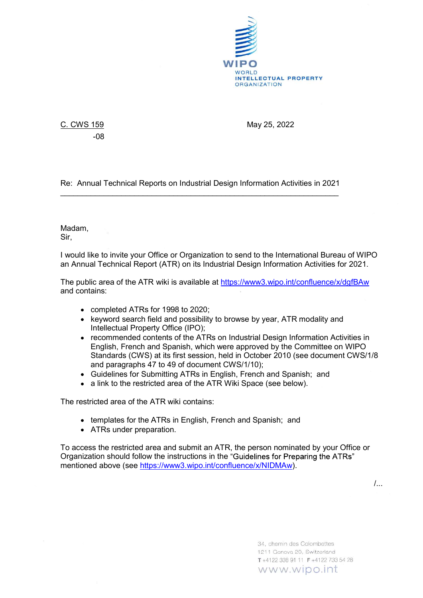

-08

C. CWS 159 May 25, 2022

Re: Annual Technical Reports on Industrial Design Information Activities in 2021 \_\_\_\_\_\_\_\_\_\_\_\_\_\_\_\_\_\_\_\_\_\_\_\_\_\_\_\_\_\_\_\_\_\_\_\_\_\_\_\_\_\_\_\_\_\_\_\_\_\_\_\_\_\_\_\_\_\_\_\_\_\_\_\_ Madam,

Sir,

I would like to invite your Office or Organization to send to the International Bureau of WIPO an Annual Technical Report (ATR) on its Industrial Design Information Activities for 2021.

The public area of the ATR wiki is available at https://www3.wipo.int/confluence/x/dgfBAw and contains:

- completed ATRs for 1998 to 2020;
- keyword search field and possibility to browse by year, ATR modality and Intellectual Property Office (IPO);
- recommended contents of the ATRs on Industrial Design Information Activities in English, French and Spanish, which were approved by the Committee on WIPO Standards (CWS) at its first session, held in October 2010 (see document CWS/1/8 and paragraphs 47 to 49 of document CWS/1/10);
- Guidelines for Submitting ATRs in English, French and Spanish; and
- a link to the restricted area of the ATR Wiki Space (see below).

The restricted area of the ATR wiki contains:

- templates for the ATRs in English, French and Spanish; and
- ATRs under preparation.

To access the restricted area and submit an ATR, the person nominated by your Office or Organization should follow the instructions in the "Guidelines for Preparing the ATRs" mentioned above (see https://www3.wipo.int/confluence/x/NIDMAw).

/...

34. chemin des Colombettes 1211 Geneva 20, Switzerland T+4122 338 91 11 F+4122 733 54 28 www.wipo.int